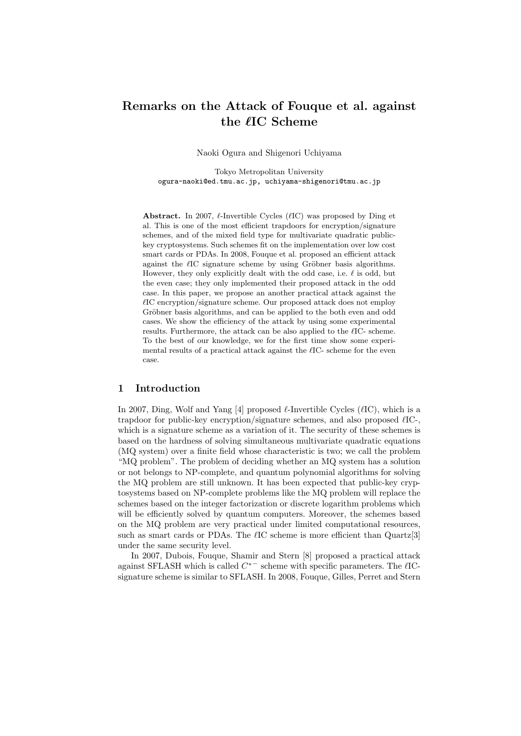# **Remarks on the Attack of Fouque et al. against the** *`***IC Scheme**

Naoki Ogura and Shigenori Uchiyama

Tokyo Metropolitan University ogura-naoki@ed.tmu.ac.jp, uchiyama-shigenori@tmu.ac.jp

**Abstract.** In 2007,  $\ell$ -Invertible Cycles ( $\ell$ IC) was proposed by Ding et al. This is one of the most efficient trapdoors for encryption/signature schemes, and of the mixed field type for multivariate quadratic publickey cryptosystems. Such schemes fit on the implementation over low cost smart cards or PDAs. In 2008, Fouque et al. proposed an efficient attack against the  $\ell$ IC signature scheme by using Gröbner basis algorithms. However, they only explicitly dealt with the odd case, i.e.  $\ell$  is odd, but the even case; they only implemented their proposed attack in the odd case. In this paper, we propose an another practical attack against the  $\ell$ IC encryption/signature scheme. Our proposed attack does not employ Gröbner basis algorithms, and can be applied to the both even and odd cases. We show the efficiency of the attack by using some experimental results. Furthermore, the attack can be also applied to the  $\ell$ IC- scheme. To the best of our knowledge, we for the first time show some experimental results of a practical attack against the  $\ell$ IC- scheme for the even case.

# **1 Introduction**

In 2007, Ding, Wolf and Yang [4] proposed  $\ell$ -Invertible Cycles ( $\ell$ IC), which is a trapdoor for public-key encryption/signature schemes, and also proposed  $\ell$ IC-, which is a signature scheme as a variation of it. The security of these schemes is based on the hardness of solving simultaneous multivariate quadratic equations (MQ system) over a finite field whose characteristic is two; we call the problem "MQ problem". The problem of deciding whether an MQ system has a solution or not belongs to NP-complete, and quantum polynomial algorithms for solving the MQ problem are still unknown. It has been expected that public-key cryptosystems based on NP-complete problems like the MQ problem will replace the schemes based on the integer factorization or discrete logarithm problems which will be efficiently solved by quantum computers. Moreover, the schemes based on the MQ problem are very practical under limited computational resources, such as smart cards or PDAs. The *l*IC scheme is more efficient than Quartz<sup>[3]</sup> under the same security level.

In 2007, Dubois, Fouque, Shamir and Stern [8] proposed a practical attack against SFLASH which is called *C ∗−* scheme with specific parameters. The *`*ICsignature scheme is similar to SFLASH. In 2008, Fouque, Gilles, Perret and Stern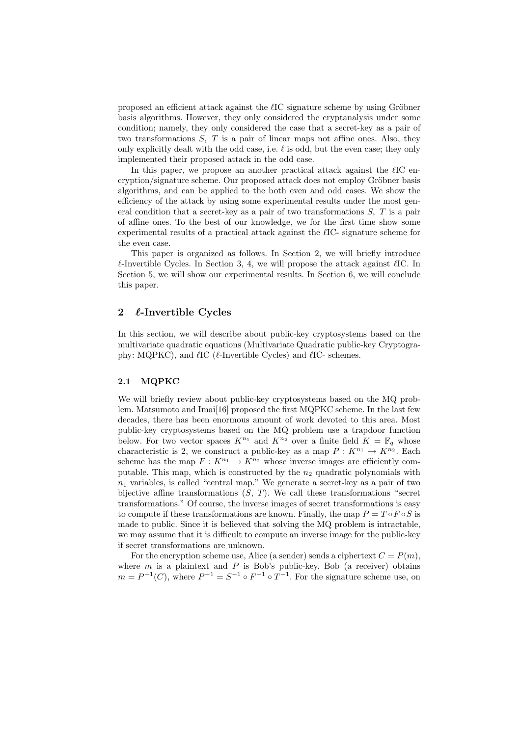proposed an efficient attack against the *l*IC signature scheme by using Gröbner basis algorithms. However, they only considered the cryptanalysis under some condition; namely, they only considered the case that a secret-key as a pair of two transformations *S, T* is a pair of linear maps not affine ones. Also, they only explicitly dealt with the odd case, i.e.  $\ell$  is odd, but the even case; they only implemented their proposed attack in the odd case.

In this paper, we propose an another practical attack against the  $\ell$ IC encryption/signature scheme. Our proposed attack does not employ Gröbner basis algorithms, and can be applied to the both even and odd cases. We show the efficiency of the attack by using some experimental results under the most general condition that a secret-key as a pair of two transformations *S, T* is a pair of affine ones. To the best of our knowledge, we for the first time show some experimental results of a practical attack against the  $\ell$ IC- signature scheme for the even case.

This paper is organized as follows. In Section 2, we will briefly introduce  $\ell$ -Invertible Cycles. In Section 3, 4, we will propose the attack against  $\ell$ IC. In Section 5, we will show our experimental results. In Section 6, we will conclude this paper.

# **2** *`***-Invertible Cycles**

In this section, we will describe about public-key cryptosystems based on the multivariate quadratic equations (Multivariate Quadratic public-key Cryptography:  $MQPKC$ ), and  $\ell$ IC ( $\ell$ -Invertible Cycles) and  $\ell$ IC- schemes.

# **2.1 MQPKC**

We will briefly review about public-key cryptosystems based on the MQ problem. Matsumoto and Imai<sup>[16]</sup> proposed the first MQPKC scheme. In the last few decades, there has been enormous amount of work devoted to this area. Most public-key cryptosystems based on the MQ problem use a trapdoor function below. For two vector spaces  $K^{n_1}$  and  $K^{n_2}$  over a finite field  $K = \mathbb{F}_q$  whose characteristic is 2, we construct a public-key as a map  $P: K^{n_1} \to K^{n_2}$ . Each scheme has the map  $F: K^{n_1} \to K^{n_2}$  whose inverse images are efficiently computable. This map, which is constructed by the *n*<sup>2</sup> quadratic polynomials with  $n_1$  variables, is called "central map." We generate a secret-key as a pair of two bijective affine transformations  $(S, T)$ . We call these transformations "secret transformations." Of course, the inverse images of secret transformations is easy to compute if these transformations are known. Finally, the map  $P = T \circ F \circ S$  is made to public. Since it is believed that solving the MQ problem is intractable, we may assume that it is difficult to compute an inverse image for the public-key if secret transformations are unknown.

For the encryption scheme use, Alice (a sender) sends a ciphertext  $C = P(m)$ , where  $m$  is a plaintext and  $P$  is Bob's public-key. Bob (a receiver) obtains  $m = P^{-1}(C)$ , where  $P^{-1} = S^{-1} \circ F^{-1} \circ T^{-1}$ . For the signature scheme use, on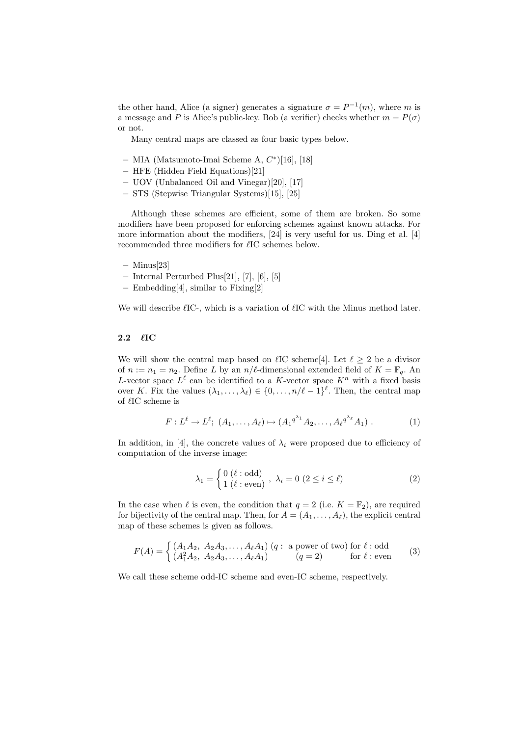the other hand, Alice (a signer) generates a signature  $\sigma = P^{-1}(m)$ , where *m* is a message and *P* is Alice's public-key. Bob (a verifier) checks whether  $m = P(\sigma)$ or not.

Many central maps are classed as four basic types below.

- **–** MIA (Matsumoto-Imai Scheme A, *C ∗* )[16], [18]
- **–** HFE (Hidden Field Equations)[21]
- **–** UOV (Unbalanced Oil and Vinegar)[20], [17]
- **–** STS (Stepwise Triangular Systems)[15], [25]

Although these schemes are efficient, some of them are broken. So some modifiers have been proposed for enforcing schemes against known attacks. For more information about the modifiers, [24] is very useful for us. Ding et al. [4] recommended three modifiers for  $\ell$ IC schemes below.

- **–** Minus[23]
- **–** Internal Perturbed Plus[21], [7], [6], [5]
- **–** Embedding[4], similar to Fixing[2]

We will describe  $\ell$ IC-, which is a variation of  $\ell$ IC with the Minus method later.

#### **2.2** *`***IC**

We will show the central map based on  $\ell$ IC scheme<sup>[4]</sup>. Let  $\ell \geq 2$  be a divisor of  $n := n_1 = n_2$ . Define *L* by an  $n/\ell$ -dimensional extended field of  $K = \mathbb{F}_q$ . An *L*-vector space  $L^{\ell}$  can be identified to a *K*-vector space  $K^{n}$  with a fixed basis over *K*. Fix the values  $(\lambda_1, \ldots, \lambda_\ell) \in \{0, \ldots, n/\ell - 1\}^\ell$ . Then, the central map of *`*IC scheme is

$$
F: L^{\ell} \to L^{\ell}; (A_1, \dots, A_{\ell}) \mapsto (A_1^{q^{\lambda_1}} A_2, \dots, A_{\ell}^{q^{\lambda_{\ell}}} A_1).
$$
 (1)

In addition, in [4], the concrete values of  $\lambda_i$  were proposed due to efficiency of computation of the inverse image:

$$
\lambda_1 = \begin{cases} 0 \ (\ell : \text{odd}) \\ 1 \ (\ell : \text{even}) \end{cases}, \ \lambda_i = 0 \ (2 \leq i \leq \ell)
$$
 (2)

In the case when  $\ell$  is even, the condition that  $q = 2$  (i.e.  $K = \mathbb{F}_2$ ), are required for bijectivity of the central map. Then, for  $A = (A_1, \ldots, A_\ell)$ , the explicit central map of these schemes is given as follows.

$$
F(A) = \begin{cases} (A_1 A_2, A_2 A_3, \dots, A_{\ell} A_1) (q : \text{ a power of two}) \text{ for } \ell : \text{odd} \\ (A_1^2 A_2, A_2 A_3, \dots, A_{\ell} A_1) (q = 2) \text{ for } \ell : \text{even} \end{cases}
$$
(3)

We call these scheme odd-IC scheme and even-IC scheme, respectively.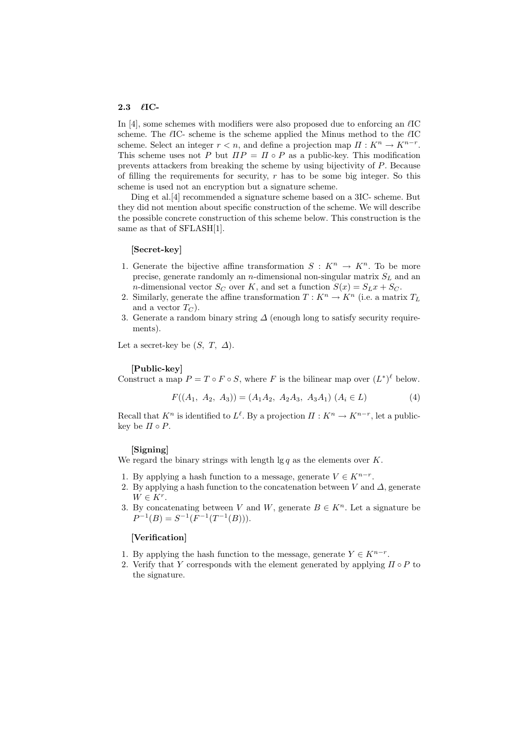#### **2.3** *`***IC-**

In  $[4]$ , some schemes with modifiers were also proposed due to enforcing an  $\ell$ IC scheme. The  $\ell$ IC- scheme is the scheme applied the Minus method to the  $\ell$ IC scheme. Select an integer  $r < n$ , and define a projection map  $\Pi : K^n \to K^{n-r}$ . This scheme uses not *P* but  $\Pi P = \Pi \circ P$  as a public-key. This modification prevents attackers from breaking the scheme by using bijectivity of *P*. Because of filling the requirements for security, *r* has to be some big integer. So this scheme is used not an encryption but a signature scheme.

Ding et al.[4] recommended a signature scheme based on a 3IC- scheme. But they did not mention about specific construction of the scheme. We will describe the possible concrete construction of this scheme below. This construction is the same as that of SFLASH[1].

#### **[Secret-key]**

- 1. Generate the bijective affine transformation  $S: K^n \to K^n$ . To be more precise, generate randomly an *n*-dimensional non-singular matrix *S<sup>L</sup>* and an *n*-dimensional vector  $S_C$  over  $K$ , and set a function  $S(x) = S_L x + S_C$ .
- 2. Similarly, generate the affine transformation  $T: K^n \to K^n$  (i.e. a matrix  $T_L$ ) and a vector  $T_C$ ).
- 3. Generate a random binary string *∆* (enough long to satisfy security requirements).

Let a secret-key be  $(S, T, \Delta)$ .

## **[Public-key]**

Construct a map  $P = T \circ F \circ S$ , where *F* is the bilinear map over  $(L^*)^{\ell}$  below.

$$
F((A_1, A_2, A_3)) = (A_1A_2, A_2A_3, A_3A_1) (A_i \in L)
$$
 (4)

Recall that  $K^n$  is identified to  $L^{\ell}$ . By a projection  $\Pi : K^n \to K^{n-r}$ , let a publickey be  $\Pi \circ P$ .

#### **[Signing]**

We regard the binary strings with length  $\lg q$  as the elements over *K*.

- 1. By applying a hash function to a message, generate  $V \in K^{n-r}$ .
- 2. By applying a hash function to the concatenation between  $V$  and  $\Delta$ , generate  $W \in K^r$ .
- 3. By concatenating between *V* and *W*, generate  $B \in K^n$ . Let a signature be  $P^{-1}(B) = S^{-1}(F^{-1}(T^{-1}(B))).$

#### **[Verification]**

- 1. By applying the hash function to the message, generate  $Y \in K^{n-r}$ .
- 2. Verify that *Y* corresponds with the element generated by applying  $\Pi \circ P$  to the signature.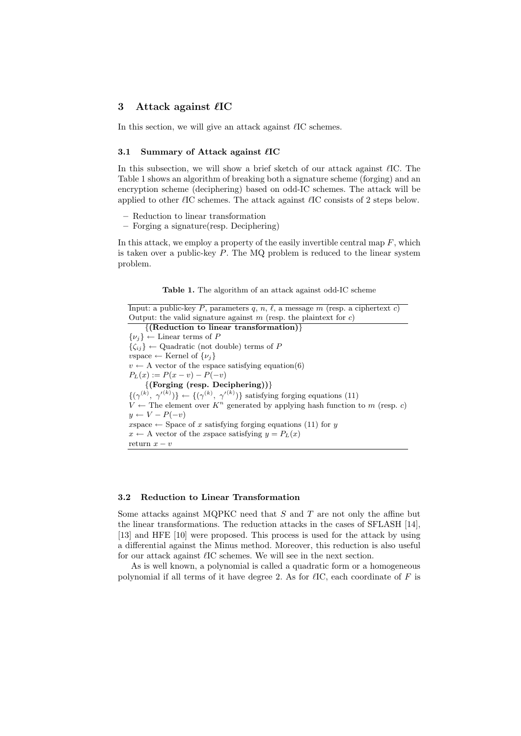# **3** Attack against  $\ell$ **IC**

In this section, we will give an attack against  $\ell$ IC schemes.

#### **3.1 Summary of Attack against**  $\ell$ **IC**

In this subsection, we will show a brief sketch of our attack against  $\ell$ IC. The Table 1 shows an algorithm of breaking both a signature scheme (forging) and an encryption scheme (deciphering) based on odd-IC schemes. The attack will be applied to other  $\ell$ IC schemes. The attack against  $\ell$ IC consists of 2 steps below.

- **–** Reduction to linear transformation
- **–** Forging a signature(resp. Deciphering)

In this attack, we employ a property of the easily invertible central map  $F$ , which is taken over a public-key *P*. The MQ problem is reduced to the linear system problem.

**Table 1.** The algorithm of an attack against odd-IC scheme

Input: a public-key *P*, parameters *q*, *n*,  $\ell$ , a message *m* (resp. a ciphertext *c*) Output: the valid signature against *m* (resp. the plaintext for *c*) *{***(Reduction to linear transformation)***}*  $\{\nu_j\}$  ← Linear terms of *P*  $\{\zeta_{ij}\}\leftarrow Q$ uadratic (not double) terms of *P*  $vspace \leftarrow$  Kernel of  $\{v_i\}$  $v \leftarrow A$  vector of the *v*space satisfying equation(6)  $P_L(x) := P(x - v) - P(-v)$ *{***(Forging (resp. Deciphering))***}*  $\{(\gamma^{(k)}, \gamma'^{(k)})\}$  ←  $\{(\gamma^{(k)}, \gamma'^{(k)})\}$  satisfying forging equations (11)  $V \leftarrow$  The element over  $K^n$  generated by applying hash function to *m* (resp. *c*) *y* ← *V* − *P*(−*v*)  $x\text{space} \leftarrow \text{Space of } x \text{ satisfying for } \text{giving equations (11) for } y$  $x \leftarrow A$  vector of the *x*space satisfying  $y = P_L(x)$ return  $x - v$ 

#### **3.2 Reduction to Linear Transformation**

Some attacks against MQPKC need that *S* and *T* are not only the affine but the linear transformations. The reduction attacks in the cases of SFLASH [14], [13] and HFE [10] were proposed. This process is used for the attack by using a differential against the Minus method. Moreover, this reduction is also useful for our attack against  $\ell$ IC schemes. We will see in the next section.

As is well known, a polynomial is called a quadratic form or a homogeneous polynomial if all terms of it have degree 2. As for  $\ell$ IC, each coordinate of  $F$  is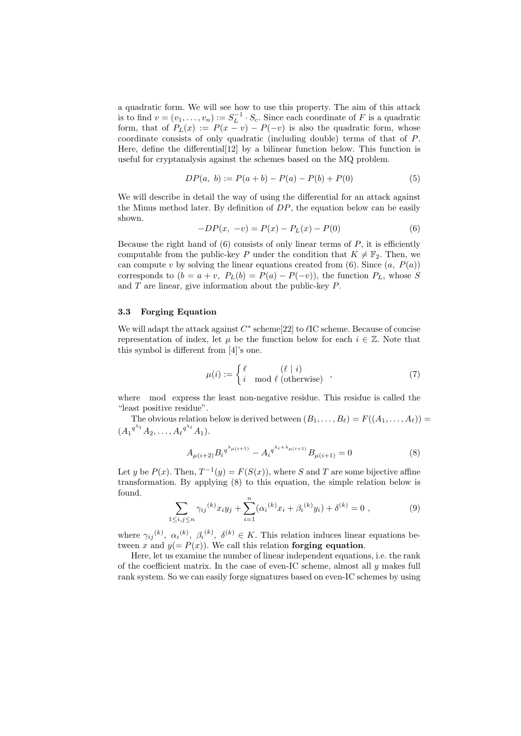a quadratic form. We will see how to use this property. The aim of this attack is to find  $v = (v_1, \ldots, v_n) := S_L^{-1} \cdot S_c$ . Since each coordinate of *F* is a quadratic form, that of  $P_L(x) := P(x - v) - P(-v)$  is also the quadratic form, whose coordinate consists of only quadratic (including double) terms of that of *P*. Here, define the differential[12] by a bilinear function below. This function is useful for cryptanalysis against the schemes based on the MQ problem.

$$
DP(a, b) := P(a + b) - P(a) - P(b) + P(0)
$$
\n<sup>(5)</sup>

We will describe in detail the way of using the differential for an attack against the Minus method later. By definition of *DP*, the equation below can be easily shown.

$$
-DP(x, -v) = P(x) - PL(x) - P(0)
$$
\n(6)

Because the right hand of  $(6)$  consists of only linear terms of  $P$ , it is efficiently computable from the public-key *P* under the condition that  $K \neq \mathbb{F}_2$ . Then, we can compute  $v$  by solving the linear equations created from  $(6)$ . Since  $(a, P(a))$ corresponds to  $(b = a + v, P_L(b) = P(a) - P(-v)$ , the function  $P_L$ , whose *S* and *T* are linear, give information about the public-key *P*.

## **3.3 Forging Equation**

We will adapt the attack against  $C^*$  scheme[22] to  $\ell$ IC scheme. Because of concise representation of index, let  $\mu$  be the function below for each  $i \in \mathbb{Z}$ . Note that this symbol is different from [4]'s one.

$$
\mu(i) := \begin{cases} \ell & (\ell \mid i) \\ i \mod \ell \text{ (otherwise)} \end{cases},\tag{7}
$$

where mod express the least non-negative residue. This residue is called the "least positive residue".

The obvious relation below is derived between  $(B_1, \ldots, B_\ell) = F((A_1, \ldots, A_\ell))$  =  $(A_1^{q^{\lambda_1}} A_2, \ldots, A_\ell^{q^{\lambda_\ell}} A_1).$ 

$$
A_{\mu(i+2)} B_i q^{\lambda_{\mu(i+1)}} - A_i q^{\lambda_i + \lambda_{\mu(i+1)}} B_{\mu(i+1)} = 0 \tag{8}
$$

Let *y* be  $P(x)$ . Then,  $T^{-1}(y) = F(S(x))$ , where *S* and *T* are some bijective affine transformation. By applying (8) to this equation, the simple relation below is found.

$$
\sum_{1 \le i,j \le n} \gamma_{ij}^{(k)} x_i y_j + \sum_{i=1}^n (\alpha_i^{(k)} x_i + \beta_i^{(k)} y_i) + \delta^{(k)} = 0 , \qquad (9)
$$

where  $\gamma_{ij}(k)$ ,  $\alpha_i(k)$ ,  $\beta_i(k)$ ,  $\delta^{(k)} \in K$ . This relation induces linear equations between *x* and  $y(=P(x))$ . We call this relation **forging equation**.

Here, let us examine the number of linear independent equations, i.e. the rank of the coefficient matrix. In the case of even-IC scheme, almost all *y* makes full rank system. So we can easily forge signatures based on even-IC schemes by using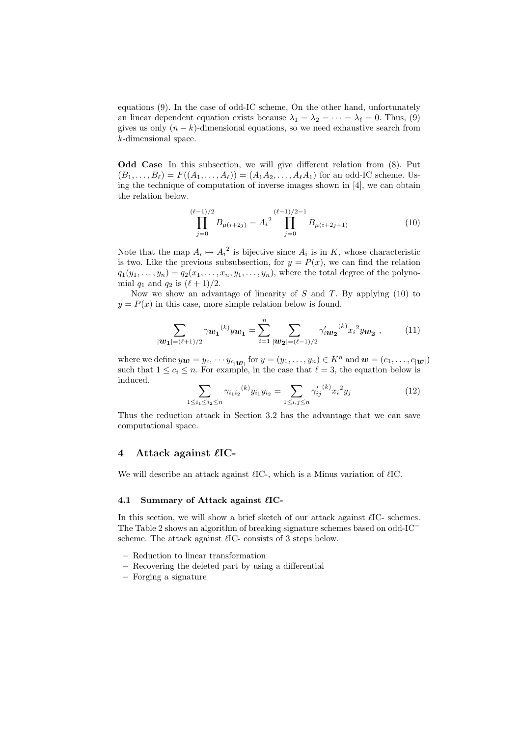equations (9). In the case of odd-IC scheme, On the other hand, unfortunately an linear dependent equation exists because  $\lambda_1 = \lambda_2 = \cdots = \lambda_\ell = 0$ . Thus, (9) gives us only  $(n - k)$ -dimensional equations, so we need exhaustive search from *k*-dimensional space.

**Odd Case** In this subsection, we will give different relation from (8). Put  $(B_1, \ldots, B_\ell) = F((A_1, \ldots, A_\ell)) = (A_1 A_2, \ldots, A_\ell A_1)$  for an odd-IC scheme. Using the technique of computation of inverse images shown in [4], we can obtain the relation below.

$$
\prod_{j=0}^{(\ell-1)/2} B_{\mu(i+2j)} = A_i^{2} \prod_{j=0}^{(\ell-1)/2-1} B_{\mu(i+2j+1)}
$$
(10)

Note that the map  $A_i \mapsto A_i^2$  is bijective since  $A_i$  is in  $K$ , whose characteristic is two. Like the previous subsubsection, for  $y = P(x)$ , we can find the relation  $q_1(y_1, \ldots, y_n) = q_2(x_1, \ldots, x_n, y_1, \ldots, y_n)$ , where the total degree of the polynomial  $q_1$  and  $q_2$  is  $(\ell + 1)/2$ .

Now we show an advantage of linearity of *S* and *T*. By applying (10) to  $y = P(x)$  in this case, more simple relation below is found.

$$
\sum_{|\mathbf{w_1}|=(\ell+1)/2} \gamma_{\mathbf{w_1}}^{(k)} y_{\mathbf{w_1}} = \sum_{i=1}^n \sum_{|\mathbf{w_2}|=(\ell-1)/2} \gamma'_i \mathbf{w_2}^{(k)} x_i^2 y_{\mathbf{w_2}} , \qquad (11)
$$

where we define  $y_{\boldsymbol{w}} = y_{c_1} \cdots y_{c_1 \boldsymbol{w}_1}$  for  $y = (y_1, \ldots, y_n) \in K^n$  and  $\boldsymbol{w} = (c_1, \ldots, c_{|\boldsymbol{w}|})$ such that  $1 \leq c_i \leq n$ . For example, in the case that  $\ell = 3$ , the equation below is induced.

$$
\sum_{1 \le i_1 \le i_2 \le n} \gamma_{i_1 i_2}^{(k)} y_{i_1} y_{i_2} = \sum_{1 \le i,j \le n} \gamma'_{ij}^{(k)} x_i^2 y_j \tag{12}
$$

Thus the reduction attack in Section 3.2 has the advantage that we can save computational space.

## **4** Attack against  $\ell$ **IC**-

We will describe an attack against  $\ell$ IC-, which is a Minus variation of  $\ell$ IC.

## **4.1 Summary of Attack against**  $\ell$ **IC-**

In this section, we will show a brief sketch of our attack against  $\ell$ IC- schemes. The Table 2 shows an algorithm of breaking signature schemes based on odd-IC*<sup>−</sup>* scheme. The attack against  $\ell$ IC- consists of 3 steps below.

- **–** Reduction to linear transformation
- **–** Recovering the deleted part by using a differential
- **–** Forging a signature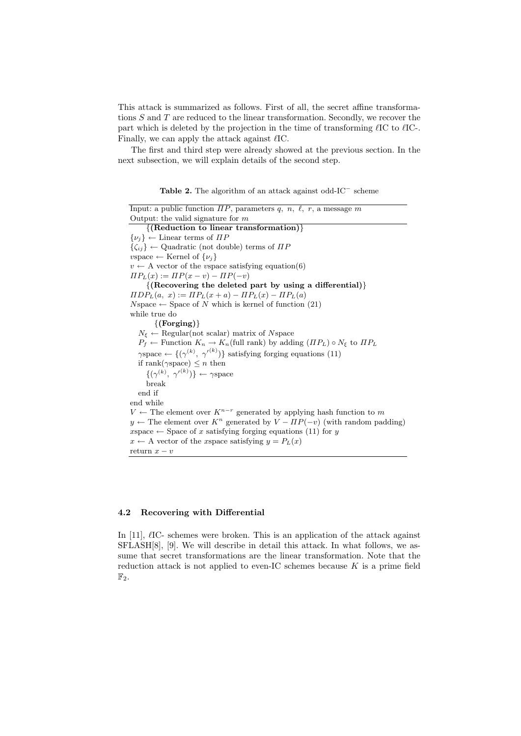This attack is summarized as follows. First of all, the secret affine transformations *S* and *T* are reduced to the linear transformation. Secondly, we recover the part which is deleted by the projection in the time of transforming  $\ell$ IC to  $\ell$ IC-. Finally, we can apply the attack against  $\ell$ IC.

The first and third step were already showed at the previous section. In the next subsection, we will explain details of the second step.

| <b>Table 2.</b> The algorithm of an attack against odd- $IC^-$ scheme |  |  |
|-----------------------------------------------------------------------|--|--|
|-----------------------------------------------------------------------|--|--|

```
Input: a public function \overline{IP}, parameters q, n, l, r, a message m
Output: the valid signature for m
     {(Reduction to linear transformation)}
{νj} ← Linear terms of ΠP
{ζij} ← Quadratic (not double) terms of ΠP
vspace \leftarrow Kernel of \{v_i\}v \leftarrow A vector of the vspace satisfying equation(6)
\Pi P_L(x) := \Pi P(x - v) - \Pi P(-v){(Recovering the deleted part by using a differential)}
ΠDP<sub>L</sub>(a, x) := ΠP<sub>L</sub>(x + a) − ΠP<sub>L</sub>(x) − ΠP<sub>L</sub>(a)
Nspace \leftarrow Space of N which is kernel of function (21)
while true do
        {(Forging)}
   N_{\xi} ← Regular(not scalar) matrix of Nspace
   P_f \leftarrow Function K_n \rightarrow K_n (full rank) by adding (IP_L) \circ N_\xi to IP_L\gammaspace \leftarrow \{(\gamma^{(k)}, {\gamma'}^{(k)})\} satisfying forging equations (11)
   if rank(\gammaspace) \leq n then
      \{(\gamma^{(k)}, \gamma'^{(k)})\} \leftarrow \gammaspace
     break
  end if
end while
V \leftarrow The element over K^{n-r} generated by applying hash function to m
y \leftarrow The element over K^n generated by V - \Pi P(-v) (with random padding)
x\text{space} \leftarrow \text{Space of } x \text{ satisfying for } \text{g} \text{ equations (11) for } yx \leftarrow A vector of the xspace satisfying y = P_L(x)return x - v
```
## **4.2 Recovering with Differential**

In [11],  $\ell$ IC- schemes were broken. This is an application of the attack against SFLASH[8], [9]. We will describe in detail this attack. In what follows, we assume that secret transformations are the linear transformation. Note that the reduction attack is not applied to even-IC schemes because *K* is a prime field  $\mathbb{F}_2$ .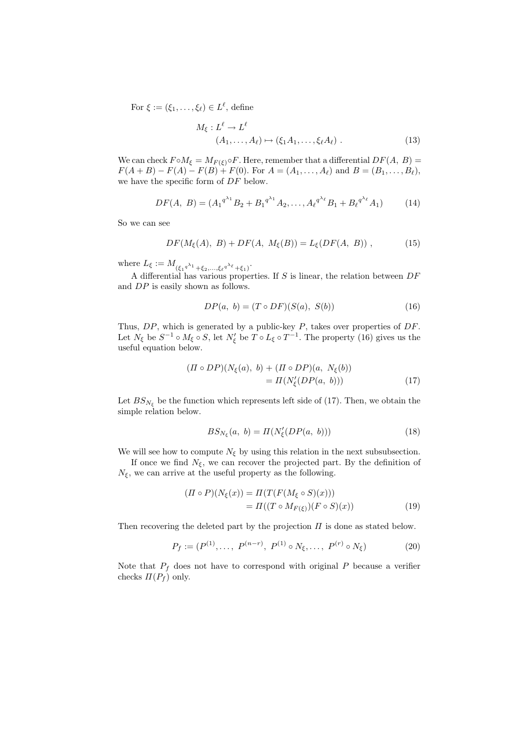For  $\xi := (\xi_1, \ldots, \xi_\ell) \in L^\ell$ , define

$$
M_{\xi}: L^{\ell} \to L^{\ell}
$$
  

$$
(A_1, \dots, A_{\ell}) \mapsto (\xi_1 A_1, \dots, \xi_{\ell} A_{\ell}).
$$
 (13)

We can check  $F \circ M_{\xi} = M_{F(\xi)} \circ F$ . Here, remember that a differential  $DF(A, B) =$ *F*(*A* + *B*) *− F*(*A*)  $\cdot$  *- F*(*B*) + *F*(0). For *A* = (*A*<sub>1</sub>*, . . . , A*<sub> $\ell$ </sub>) and *B* = (*B*<sub>1</sub>*, . . . , B*<sub> $\ell$ </sub>), we have the specific form of *DF* below.

$$
DF(A, B) = (A_1^{q^{\lambda_1}} B_2 + B_1^{q^{\lambda_1}} A_2, \dots, A_\ell^{q^{\lambda_\ell}} B_1 + B_\ell^{q^{\lambda_\ell}} A_1)
$$
(14)

So we can see

$$
DF(M_{\xi}(A), B) + DF(A, M_{\xi}(B)) = L_{\xi}(DF(A, B)), \qquad (15)
$$

where  $L_{\xi} := M_{(\xi_1 q^{\lambda_1} + \xi_2, ..., \xi_{\ell} q^{\lambda_{\ell}}} + \xi_1)$ .

A differential has various properties. If *S* is linear, the relation between *DF* and *DP* is easily shown as follows.

$$
DP(a, b) = (T \circ DF)(S(a), S(b)) \tag{16}
$$

Thus, *DP*, which is generated by a public-key *P*, takes over properties of *DF*. Let  $N_{\xi}$  be  $S^{-1} \circ M_{\xi} \circ S$ , let  $N'_{\xi}$  be  $T \circ L_{\xi} \circ T^{-1}$ . The property (16) gives us the useful equation below.

$$
(II \circ DP)(N_{\xi}(a), b) + (II \circ DP)(a, N_{\xi}(b))
$$
  
=  $\Pi(N'_{\xi}(DP(a, b)))$  (17)

Let  $BS_{N_f}$  be the function which represents left side of (17). Then, we obtain the simple relation below.

$$
BS_{N_{\xi}}(a, b) = \Pi(N'_{\xi}(DP(a, b)))\tag{18}
$$

We will see how to compute  $N_{\xi}$  by using this relation in the next subsubsection.

If once we find  $N_{\xi}$ , we can recover the projected part. By the definition of  $N_{\xi}$ , we can arrive at the useful property as the following.

$$
(II \circ P)(N_{\xi}(x)) = \Pi(T(F(M_{\xi} \circ S)(x)))
$$
  
= 
$$
\Pi((T \circ M_{F(\xi)})(F \circ S)(x))
$$
 (19)

Then recovering the deleted part by the projection *Π* is done as stated below.

$$
P_f := (P^{(1)}, \dots, P^{(n-r)}, P^{(1)} \circ N_{\xi}, \dots, P^{(r)} \circ N_{\xi})
$$
 (20)

Note that  $P_f$  does not have to correspond with original  $P$  because a verifier checks  $\Pi(P_f)$  only.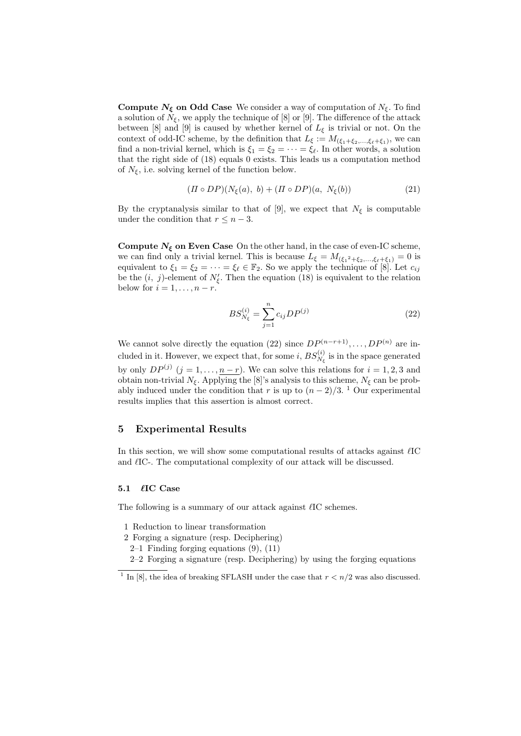**Compute**  $N_{\xi}$  **on Odd Case** We consider a way of computation of  $N_{\xi}$ . To find a solution of  $N_{\xi}$ , we apply the technique of [8] or [9]. The difference of the attack between [8] and [9] is caused by whether kernel of  $L_{\xi}$  is trivial or not. On the context of odd-IC scheme, by the definition that  $L_{\xi} := M_{(\xi_1 + \xi_2, ..., \xi_{\ell} + \xi_1)}$ , we can find a non-trivial kernel, which is  $\xi_1 = \xi_2 = \cdots = \xi_\ell$ . In other words, a solution that the right side of (18) equals 0 exists. This leads us a computation method of  $N_{\xi}$ , i.e. solving kernel of the function below.

$$
(II \circ DP)(N_{\xi}(a), b) + (II \circ DP)(a, N_{\xi}(b))
$$
\n
$$
(21)
$$

By the cryptanalysis similar to that of [9], we expect that  $N_{\xi}$  is computable under the condition that  $r \leq n-3$ .

**Compute**  $N_{\xi}$  on Even Case On the other hand, in the case of even-IC scheme, we can find only a trivial kernel. This is because  $L_{\xi} = M_{(\xi_1^2 + \xi_2, \dots, \xi_{\ell} + \xi_1)} = 0$  is equivalent to  $\xi_1 = \xi_2 = \cdots = \xi_\ell \in \mathbb{F}_2$ . So we apply the technique of  $[8]$ . Let  $c_{ij}$ be the  $(i, j)$ -element of  $N'_{\xi}$ . Then the equation (18) is equivalent to the relation below for  $i = 1, \ldots, n-r$ .

$$
BS_{N_{\xi}}^{(i)} = \sum_{j=1}^{n} c_{ij} DP^{(j)} \tag{22}
$$

We cannot solve directly the equation (22) since  $DP^{(n-r+1)}$ , ...,  $DP^{(n)}$  are included in it. However, we expect that, for some *i*,  $BS_{N_{\xi}}^{(i)}$  is in the space generated by only  $DP^{(j)}$   $(j = 1, ..., n-r)$ . We can solve this relations for  $i = 1, 2, 3$  and obtain non-trivial  $N_{\xi}$ . Applying the [8]'s analysis to this scheme,  $N_{\xi}$  can be probably induced under the condition that *r* is up to  $(n-2)/3$ . <sup>1</sup> Our experimental results implies that this assertion is almost correct.

## **5 Experimental Results**

In this section, we will show some computational results of attacks against  $\ell$ IC and  $\ell$ IC-. The computational complexity of our attack will be discussed.

### **5.1** *`***IC Case**

The following is a summary of our attack against  $\ell$ IC schemes.

- 1 Reduction to linear transformation
- 2 Forging a signature (resp. Deciphering)
	- $2-1$  Finding forging equations  $(9)$ ,  $(11)$
	- 2–2 Forging a signature (resp. Deciphering) by using the forging equations

<sup>&</sup>lt;sup>1</sup> In [8], the idea of breaking SFLASH under the case that  $r < n/2$  was also discussed.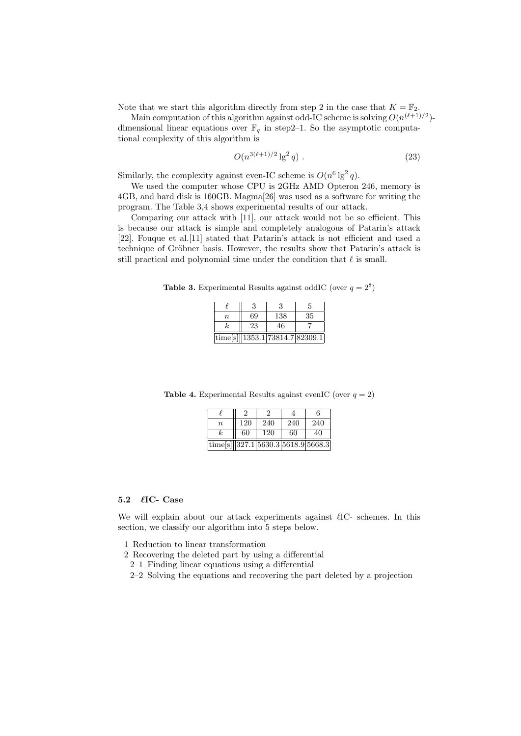Note that we start this algorithm directly from step 2 in the case that  $K = \mathbb{F}_2$ .

Main computation of this algorithm against odd-IC scheme is solving  $O(n^{(\ell+1)/2})$ dimensional linear equations over  $\mathbb{F}_q$  in step2–1. So the asymptotic computational complexity of this algorithm is

$$
O(n^{3(\ell+1)/2} \lg^2 q) \tag{23}
$$

Similarly, the complexity against even-IC scheme is  $O(n^6 \lg^2 q)$ .

We used the computer whose CPU is 2GHz AMD Opteron 246, memory is 4GB, and hard disk is 160GB. Magma[26] was used as a software for writing the program. The Table 3,4 shows experimental results of our attack.

Comparing our attack with [11], our attack would not be so efficient. This is because our attack is simple and completely analogous of Patarin's attack [22]. Fouque et al.[11] stated that Patarin's attack is not efficient and used a technique of Gröbner basis. However, the results show that Patarin's attack is still practical and polynomial time under the condition that  $\ell$  is small.

**Table 3.** Experimental Results against oddIC (over  $q = 2^8$ )

|                  |    |                                    | 5  |
|------------------|----|------------------------------------|----|
| $\boldsymbol{n}$ | 69 | 138                                | 35 |
| k                | 23 | 46                                 |    |
|                  |    | time[s] $  1353.1 73814.7 82309.1$ |    |

**Table 4.** Experimental Results against evenIC (over  $q = 2$ )

| $\it n$                                           | 120 | 240 | 240 | 240 |
|---------------------------------------------------|-----|-----|-----|-----|
|                                                   | 60  | 120 | 60  | 40  |
| $\text{time[s]}\ 327.1\ 5630.3\ 5618.9\ 5668.3\ $ |     |     |     |     |

## **5.2** *`***IC- Case**

We will explain about our attack experiments against  $\ell$ IC- schemes. In this section, we classify our algorithm into 5 steps below.

- 1 Reduction to linear transformation
- 2 Recovering the deleted part by using a differential
	- 2–1 Finding linear equations using a differential
	- 2–2 Solving the equations and recovering the part deleted by a projection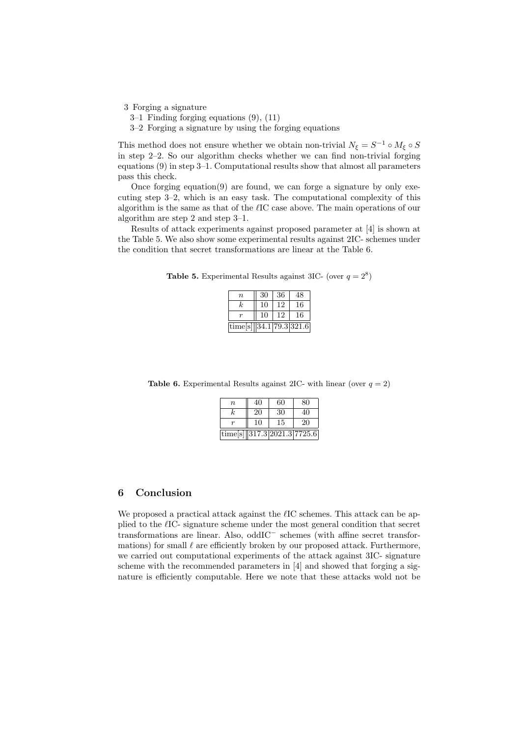3 Forging a signature

- 3–1 Finding forging equations (9), (11)
- 3–2 Forging a signature by using the forging equations

This method does not ensure whether we obtain non-trivial  $N_{\xi} = S^{-1} \circ M_{\xi} \circ S$ in step 2–2. So our algorithm checks whether we can find non-trivial forging equations (9) in step 3–1. Computational results show that almost all parameters pass this check.

Once forging equation(9) are found, we can forge a signature by only executing step 3–2, which is an easy task. The computational complexity of this algorithm is the same as that of the *`*IC case above. The main operations of our algorithm are step 2 and step 3–1.

Results of attack experiments against proposed parameter at [4] is shown at the Table 5. We also show some experimental results against 2IC- schemes under the condition that secret transformations are linear at the Table 6.

**Table 5.** Experimental Results against 3IC- (over  $q = 2^8$ )

| $\it n$                    | 30 | 36 | 48 |
|----------------------------|----|----|----|
| k.                         | 10 | 12 | 16 |
|                            | 10 | 12 | 6  |
| time[s] $ 34.1 79.3 321.6$ |    |    |    |

**Table 6.** Experimental Results against 2IC- with linear (over  $q = 2$ )

| $\, n$                          | 40 | 60 | 80 |
|---------------------------------|----|----|----|
| k.                              | 20 | 30 | 40 |
|                                 | 10 | 15 | 20 |
| time[s] $ 317.3 2021.3 7725.6 $ |    |    |    |

# **6 Conclusion**

We proposed a practical attack against the  $\ell$ IC schemes. This attack can be applied to the *`*IC- signature scheme under the most general condition that secret transformations are linear. Also, oddIC*<sup>−</sup>* schemes (with affine secret transformations) for small  $\ell$  are efficiently broken by our proposed attack. Furthermore, we carried out computational experiments of the attack against 3IC- signature scheme with the recommended parameters in [4] and showed that forging a signature is efficiently computable. Here we note that these attacks wold not be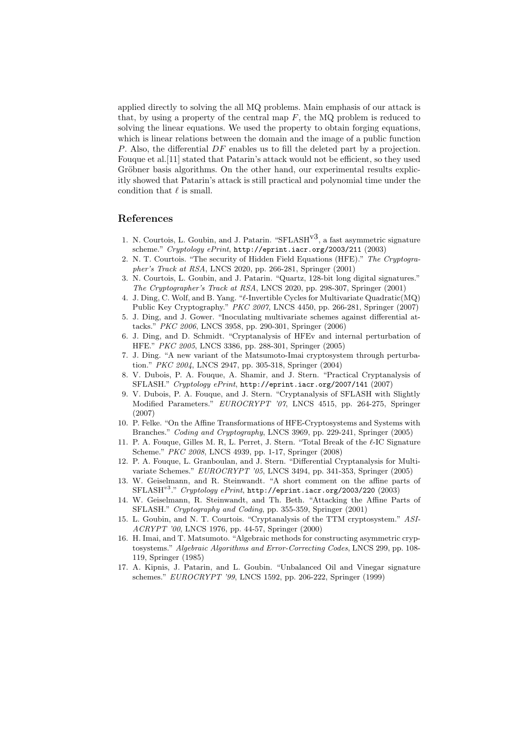applied directly to solving the all MQ problems. Main emphasis of our attack is that, by using a property of the central map *F*, the MQ problem is reduced to solving the linear equations. We used the property to obtain forging equations, which is linear relations between the domain and the image of a public function *P*. Also, the differential *DF* enables us to fill the deleted part by a projection. Fouque et al.[11] stated that Patarin's attack would not be efficient, so they used Gröbner basis algorithms. On the other hand, our experimental results explicitly showed that Patarin's attack is still practical and polynomial time under the condition that  $\ell$  is small.

# **References**

- 1. N. Courtois, L. Goubin, and J. Patarin. " $SFLASH<sup>v3</sup>$ , a fast asymmetric signature scheme." *Cryptology ePrint*, http://eprint.iacr.org/2003/211 (2003)
- 2. N. T. Courtois. "The security of Hidden Field Equations (HFE)." *The Cryptographer's Track at RSA*, LNCS 2020, pp. 266-281, Springer (2001)
- 3. N. Courtois, L. Goubin, and J. Patarin. "Quartz, 128-bit long digital signatures." *The Cryptographer's Track at RSA*, LNCS 2020, pp. 298-307, Springer (2001)
- 4. J. Ding, C. Wolf, and B. Yang. "*`*-Invertible Cycles for Multivariate Quadratic(MQ) Public Key Cryptography." *PKC 2007*, LNCS 4450, pp. 266-281, Springer (2007)
- 5. J. Ding, and J. Gower. "Inoculating multivariate schemes against differential attacks." *PKC 2006*, LNCS 3958, pp. 290-301, Springer (2006)
- 6. J. Ding, and D. Schmidt. "Cryptanalysis of HFEv and internal perturbation of HFE." *PKC 2005*, LNCS 3386, pp. 288-301, Springer (2005)
- 7. J. Ding. "A new variant of the Matsumoto-Imai cryptosystem through perturbation." *PKC 2004*, LNCS 2947, pp. 305-318, Springer (2004)
- 8. V. Dubois, P. A. Fouque, A. Shamir, and J. Stern. "Practical Cryptanalysis of SFLASH." *Cryptology ePrint*, http://eprint.iacr.org/2007/141 (2007)
- 9. V. Dubois, P. A. Fouque, and J. Stern. "Cryptanalysis of SFLASH with Slightly Modified Parameters." *EUROCRYPT '07*, LNCS 4515, pp. 264-275, Springer (2007)
- 10. P. Felke. "On the Affine Transformations of HFE-Cryptosystems and Systems with Branches." *Coding and Cryptography*, LNCS 3969, pp. 229-241, Springer (2005)
- 11. P. A. Fouque, Gilles M. R, L. Perret, J. Stern. "Total Break of the  $\ell$ -IC Signature Scheme." *PKC 2008*, LNCS 4939, pp. 1-17, Springer (2008)
- 12. P. A. Fouque, L. Granboulan, and J. Stern. "Differential Cryptanalysis for Multivariate Schemes." *EUROCRYPT '05*, LNCS 3494, pp. 341-353, Springer (2005)
- 13. W. Geiselmann, and R. Steinwandt. "A short comment on the affine parts of SFLASH*<sup>v</sup>*<sup>3</sup> ." *Cryptology ePrint*, http://eprint.iacr.org/2003/220 (2003)
- 14. W. Geiselmann, R. Steinwandt, and Th. Beth. "Attacking the Affine Parts of SFLASH." *Cryptography and Coding*, pp. 355-359, Springer (2001)
- 15. L. Goubin, and N. T. Courtois. "Cryptanalysis of the TTM cryptosystem." *ASI-ACRYPT '00*, LNCS 1976, pp. 44-57, Springer (2000)
- 16. H. Imai, and T. Matsumoto. "Algebraic methods for constructing asymmetric cryptosystems." *Algebraic Algorithms and Error-Correcting Codes*, LNCS 299, pp. 108- 119, Springer (1985)
- 17. A. Kipnis, J. Patarin, and L. Goubin. "Unbalanced Oil and Vinegar signature schemes." *EUROCRYPT '99*, LNCS 1592, pp. 206-222, Springer (1999)